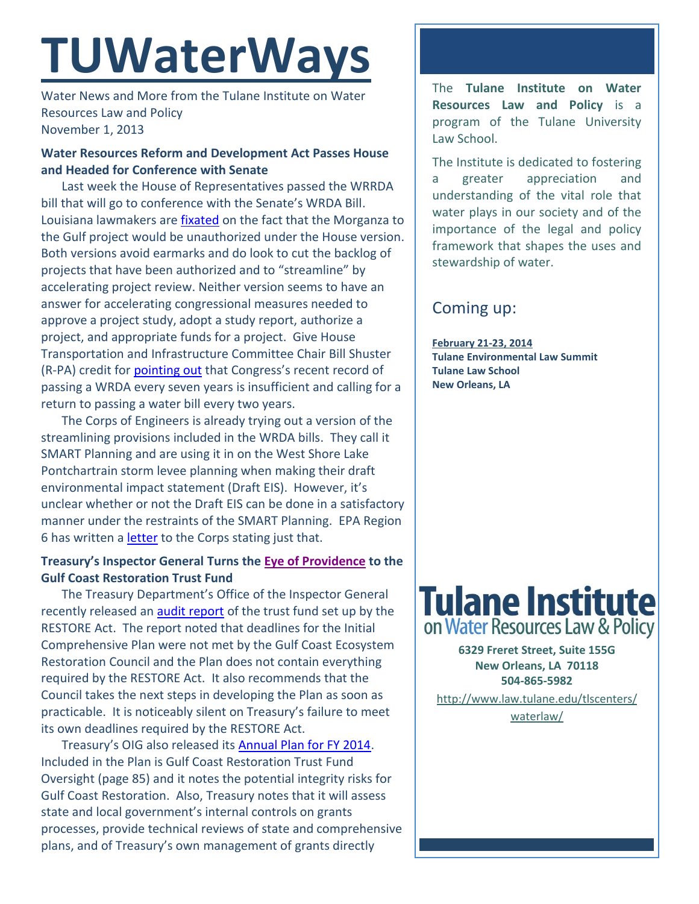# **TUWaterWays**

Water News and More from the Tulane Institute on Water Resources Law and Policy November 1, 2013

# **Water Resources Reform and Development Act Passes House and Headed for Conference with Senate**

Last week the House of Representatives passed the WRRDA bill that will go to conference with the Senate's WRDA Bill. Louisiana lawmakers are [fixated](http://www.theneworleansadvocate.com/home/7396086-172/house-approves-bipartisan-water-bill) on the fact that the Morganza to the Gulf project would be unauthorized under the House version. Both versions avoid earmarks and do look to cut the backlog of projects that have been authorized and to "streamline" by accelerating project review. Neither version seems to have an answer for accelerating congressional measures needed to approve a project study, adopt a study report, authorize a project, and appropriate funds for a project. Give House Transportation and Infrastructure Committee Chair Bill Shuster (R-PA) credit for [pointing out](http://www.politico.com/story/2013/10/wrda-water-bill-98763.html) that Congress's recent record of passing a WRDA every seven years is insufficient and calling for a return to passing a water bill every two years.

The Corps of Engineers is already trying out a version of the streamlining provisions included in the WRDA bills. They call it SMART Planning and are using it in on the West Shore Lake Pontchartrain storm levee planning when making their draft environmental impact statement (Draft EIS). However, it's unclear whether or not the Draft EIS can be done in a satisfactory manner under the restraints of the SMART Planning. EPA Region 6 has written a [letter](http://www.law.tulane.edu/uploadedFiles/Institutes_and_Centers/Water_Resources_Law_and_Policy/Content/EPA%20Comments%20WSLP%20and%20Corps%20Streamlining.pdf) to the Corps stating just that.

## **Treasury's Inspector General Turns the [Eye of Providence](https://upload.wikimedia.org/wikipedia/commons/3/3d/Dollarnote_siegel_hq.jpg) to the Gulf Coast Restoration Trust Fund**

The Treasury Department's Office of the Inspector General recently released an [audit report](http://www.treasury.gov/about/organizational-structure/ig/Audit%20Reports%20and%20Testimonies/OIG-14-003.pdf) of the trust fund set up by the RESTORE Act. The report noted that deadlines for the Initial Comprehensive Plan were not met by the Gulf Coast Ecosystem Restoration Council and the Plan does not contain everything required by the RESTORE Act. It also recommends that the Council takes the next steps in developing the Plan as soon as practicable. It is noticeably silent on Treasury's failure to meet its own deadlines required by the RESTORE Act.

Treasury's OIG also released it[s Annual Plan for FY 2014.](http://www.treasury.gov/about/organizational-structure/ig/Audit%20Reports%20and%20Testimonies/OIG-CA-13-011.pdf) Included in the Plan is Gulf Coast Restoration Trust Fund Oversight (page 85) and it notes the potential integrity risks for Gulf Coast Restoration. Also, Treasury notes that it will assess state and local government's internal controls on grants processes, provide technical reviews of state and comprehensive plans, and of Treasury's own management of grants directly

The **Tulane Institute on Water Resources Law and Policy** is a program of the Tulane University Law School.

The Institute is dedicated to fostering a greater appreciation and understanding of the vital role that water plays in our society and of the importance of the legal and policy framework that shapes the uses and stewardship of water.

# Coming up:

**February 21-23, 2014 Tulane Environmental Law Summit Tulane Law School New Orleans, LA**



**6329 Freret Street, Suite 155G New Orleans, LA 70118 504-865-5982**  [http://www.law.tulane.edu/tlscenters/](http://www.law.tulane.edu/tlscenters/waterlaw/)

[waterlaw/](http://www.law.tulane.edu/tlscenters/waterlaw/)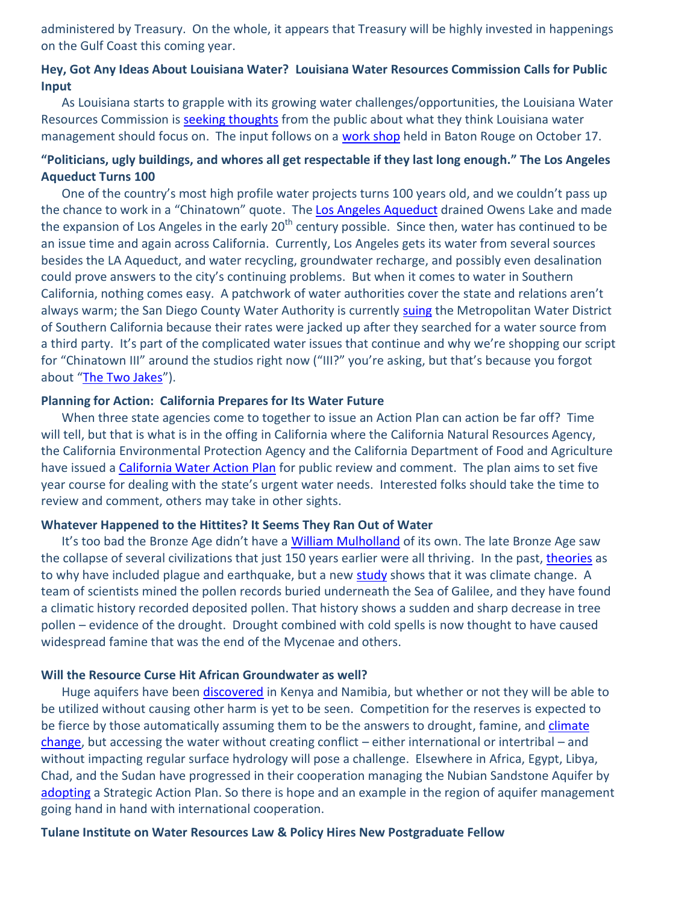administered by Treasury. On the whole, it appears that Treasury will be highly invested in happenings on the Gulf Coast this coming year.

### **Hey, Got Any Ideas About Louisiana Water? Louisiana Water Resources Commission Calls for Public Input**

As Louisiana starts to grapple with its growing water challenges/opportunities, the Louisiana Water Resources Commission i[s seeking thoughts](http://dnr.louisiana.gov/index.cfm?md=pagebuilder&tmp=home&pid=475) from the public about what they think Louisiana water management should focus on. The input follows on a [work shop](http://dnr.louisiana.gov/index.cfm?md=pagebuilder&tmp=home&pid=475) held in Baton Rouge on October 17.

### **"Politicians, ugly buildings, and whores all get respectable if they last long enough." The Los Angeles Aqueduct Turns 100**

One of the country's most high profile water projects turns 100 years old, and we couldn't pass up the chance to work in a "Chinatown" quote. The [Los Angeles Aqueduct](http://duwaterlawreview.com/there-it-is-take-it-centennial-anniversary-of-the-los-angeles-aqueduct/) drained Owens Lake and made the expansion of Los Angeles in the early  $20<sup>th</sup>$  century possible. Since then, water has continued to be an issue time and again across California. Currently, Los Angeles gets its water from several sources besides the LA Aqueduct, and water recycling, groundwater recharge, and possibly even desalination could prove answers to the city's continuing problems. But when it comes to water in Southern California, nothing comes easy. A patchwork of water authorities cover the state and relations aren't always warm; the San Diego County Water Authority is currentl[y suing](http://scoopsandiego.com/mission_times_courier/water-war-lawsuit-goes-to-trial/article_fc998e04-3bfc-11e3-a61d-0019bb30f31a.html) the Metropolitan Water District of Southern California because their rates were jacked up after they searched for a water source from a third party. It's part of the complicated water issues that continue and why we're shopping our script for "Chinatown III" around the studios right now ("III?" you're asking, but that's because you forgot about "[The Two Jakes](http://en.wikipedia.org/wiki/The_Two_Jakes)").

#### **Planning for Action: California Prepares for Its Water Future**

When three state agencies come to together to issue an Action Plan can action be far off? Time will tell, but that is what is in the offing in California where the California Natural Resources Agency, the California Environmental Protection Agency and the California Department of Food and Agriculture have issued a [California Water Action Plan](http://en.wikipedia.org/wiki/The_Two_Jakes) for public review and comment. The plan aims to set five year course for dealing with the state's urgent water needs. Interested folks should take the time to review and comment, others may take in other sights.

#### **Whatever Happened to the Hittites? It Seems They Ran Out of Water**

It's too bad the Bronze Age didn't have a [William Mulholland](http://en.wikipedia.org/wiki/William_Mulholland) of its own. The late Bronze Age saw the collapse of several civilizations that just 150 years earlier were all thriving. In the past[, theories](http://www.nytimes.com/2013/10/23/world/middleeast/pollen-study-points-to-culprit-in-bronze-era-mystery.html?smid=tw-share&_r=2&) as to why have included plague and earthquake, but a new [study](http://maneypublishing.com/index.php/resources/Press_TAV_Pollengrains) shows that it was climate change. A team of scientists mined the pollen records buried underneath the Sea of Galilee, and they have found a climatic history recorded deposited pollen. That history shows a sudden and sharp decrease in tree pollen – evidence of the drought. Drought combined with cold spells is now thought to have caused widespread famine that was the end of the Mycenae and others.

#### **Will the Resource Curse Hit African Groundwater as well?**

Huge aquifers have been [discovered](http://www.upi.com/Business_News/Energy-Resources/2013/10/23/Africa-faces-water-crisis-despite-discovery-of-huge-aquifers/UPI-13121382553986/) in Kenya and Namibia, but whether or not they will be able to be utilized without causing other harm is yet to be seen. Competition for the reserves is expected to be fierce by those automatically assuming them to be the answers to drought, famine, and climate [change,](http://www.ipsnews.net/2013/10/conflicts-over-water-rise-in-tanzania/) but accessing the water without creating conflict  $-$  either international or intertribal  $-$  and without impacting regular surface hydrology will pose a challenge. Elsewhere in Africa, Egypt, Libya, Chad, and the Sudan have progressed in their cooperation managing the Nubian Sandstone Aquifer by [adopting](http://www.internationalwaterlaw.org/blog/2013/10/20/adoption-of-regional-strategic-action-plan-on-the-nubian-sandstone-aquifer/) a Strategic Action Plan. So there is hope and an example in the region of aquifer management going hand in hand with international cooperation.

#### **Tulane Institute on Water Resources Law & Policy Hires New Postgraduate Fellow**